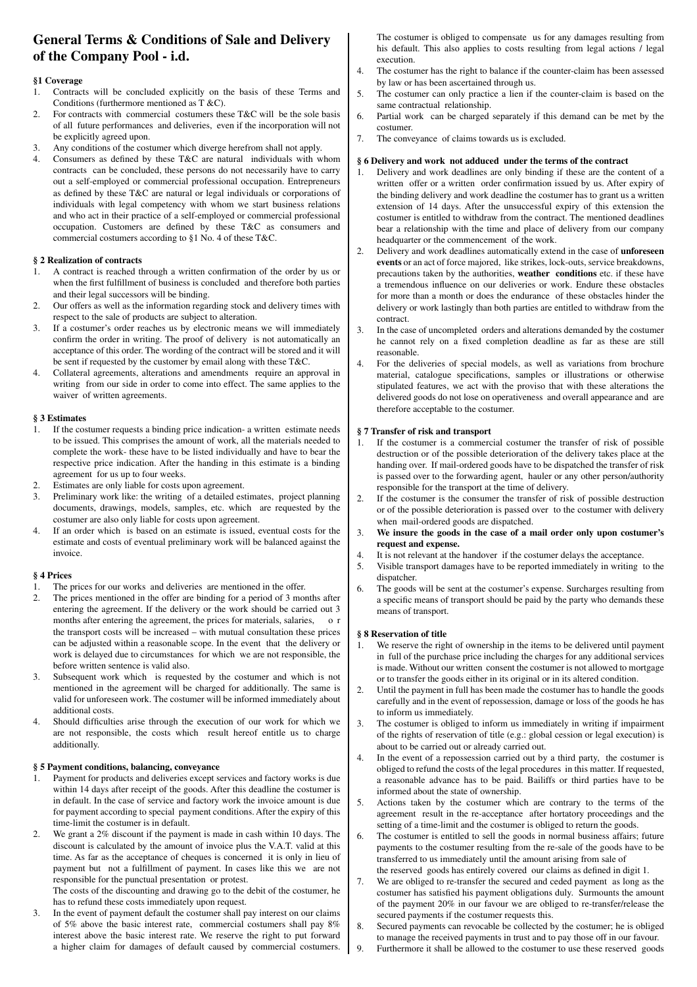# **General Terms & Conditions of Sale and Delivery of the Company Pool - i.d.**

# **§1 Coverage**

- 1. Contracts will be concluded explicitly on the basis of these Terms and Conditions (furthermore mentioned as T &C).
- For contracts with commercial costumers these T&C will be the sole basis of all future performances and deliveries, even if the incorporation will not be explicitly agreed upon.
- Any conditions of the costumer which diverge herefrom shall not apply.
- 4. Consumers as defined by these T&C are natural individuals with whom contracts can be concluded, these persons do not necessarily have to carry out a self-employed or commercial professional occupation. Entrepreneurs as defined by these T&C are natural or legal individuals or corporations of individuals with legal competency with whom we start business relations and who act in their practice of a self-employed or commercial professional occupation. Customers are defined by these T&C as consumers and commercial costumers according to §1 No. 4 of these T&C.

# **§ 2 Realization of contracts**

- A contract is reached through a written confirmation of the order by us or when the first fulfillment of business is concluded and therefore both parties and their legal successors will be binding.
- 2. Our offers as well as the information regarding stock and delivery times with respect to the sale of products are subject to alteration.
- 3. If a costumer's order reaches us by electronic means we will immediately confirm the order in writing. The proof of delivery is not automatically an acceptance of this order. The wording of the contract will be stored and it will be sent if requested by the customer by email along with these T&C.
- 4. Collateral agreements, alterations and amendments require an approval in writing from our side in order to come into effect. The same applies to the waiver of written agreements.

# **§ 3 Estimates**

- 1. If the costumer requests a binding price indication- a written estimate needs to be issued. This comprises the amount of work, all the materials needed to complete the work- these have to be listed individually and have to bear the respective price indication. After the handing in this estimate is a binding agreement for us up to four weeks.
- Estimates are only liable for costs upon agreement.
- 3. Preliminary work like: the writing of a detailed estimates, project planning documents, drawings, models, samples, etc. which are requested by the costumer are also only liable for costs upon agreement.
- 4. If an order which is based on an estimate is issued, eventual costs for the estimate and costs of eventual preliminary work will be balanced against the invoice.

# **§ 4 Prices**

- 1. The prices for our works and deliveries are mentioned in the offer.
- 2. The prices mentioned in the offer are binding for a period of 3 months after entering the agreement. If the delivery or the work should be carried out 3 months after entering the agreement, the prices for materials, salaries, or the transport costs will be increased – with mutual consultation these prices can be adjusted within a reasonable scope. In the event that the delivery or work is delayed due to circumstances for which we are not responsible, the before written sentence is valid also.
- Subsequent work which is requested by the costumer and which is not mentioned in the agreement will be charged for additionally. The same is valid for unforeseen work. The costumer will be informed immediately about additional costs.
- 4. Should difficulties arise through the execution of our work for which we are not responsible, the costs which result hereof entitle us to charge additionally.

# **§ 5 Payment conditions, balancing, conveyance**

- 1. Payment for products and deliveries except services and factory works is due within 14 days after receipt of the goods. After this deadline the costumer is in default. In the case of service and factory work the invoice amount is due for payment according to special payment conditions. After the expiry of this time-limit the costumer is in default.
- 2. We grant a 2% discount if the payment is made in cash within 10 days. The discount is calculated by the amount of invoice plus the V.A.T. valid at this time. As far as the acceptance of cheques is concerned it is only in lieu of payment but not a fulfillment of payment. In cases like this we are not responsible for the punctual presentation or protest.

 The costs of the discounting and drawing go to the debit of the costumer, he has to refund these costs immediately upon request.

In the event of payment default the costumer shall pay interest on our claims of 5% above the basic interest rate, commercial costumers shall pay 8% interest above the basic interest rate. We reserve the right to put forward a higher claim for damages of default caused by commercial costumers.

The costumer is obliged to compensate us for any damages resulting from his default. This also applies to costs resulting from legal actions / legal execution.

- 4. The costumer has the right to balance if the counter-claim has been assessed by law or has been ascertained through us.
- 5. The costumer can only practice a lien if the counter-claim is based on the same contractual relationship.
- 6. Partial work can be charged separately if this demand can be met by the costumer.
- 7. The conveyance of claims towards us is excluded.

# **§ 6 Delivery and work not adduced under the terms of the contract**

- 1. Delivery and work deadlines are only binding if these are the content of a written offer or a written order confirmation issued by us. After expiry of the binding delivery and work deadline the costumer has to grant us a written extension of 14 days. After the unsuccessful expiry of this extension the costumer is entitled to withdraw from the contract. The mentioned deadlines bear a relationship with the time and place of delivery from our company headquarter or the commencement of the work.
- 2. Delivery and work deadlines automatically extend in the case of **unforeseen events** or an act of force majored, like strikes, lock-outs, service breakdowns, precautions taken by the authorities, **weather conditions** etc. if these have a tremendous influence on our deliveries or work. Endure these obstacles for more than a month or does the endurance of these obstacles hinder the delivery or work lastingly than both parties are entitled to withdraw from the contract.
- 3. In the case of uncompleted orders and alterations demanded by the costumer he cannot rely on a fixed completion deadline as far as these are still reasonable.
- 4. For the deliveries of special models, as well as variations from brochure material, catalogue specifications, samples or illustrations or otherwise stipulated features, we act with the proviso that with these alterations the delivered goods do not lose on operativeness and overall appearance and are therefore acceptable to the costumer.

# **§ 7 Transfer of risk and transport**

- 1. If the costumer is a commercial costumer the transfer of risk of possible destruction or of the possible deterioration of the delivery takes place at the handing over. If mail-ordered goods have to be dispatched the transfer of risk is passed over to the forwarding agent, hauler or any other person/authority responsible for the transport at the time of delivery.
- 2. If the costumer is the consumer the transfer of risk of possible destruction or of the possible deterioration is passed over to the costumer with delivery when mail-ordered goods are dispatched.
- 3. **We insure the goods in the case of a mail order only upon costumer's request and expense.**
- 4. It is not relevant at the handover if the costumer delays the acceptance.
- 5. Visible transport damages have to be reported immediately in writing to the dispatcher.
- 6. The goods will be sent at the costumer's expense. Surcharges resulting from a specific means of transport should be paid by the party who demands these means of transport.

# **§ 8 Reservation of title**

- 1. We reserve the right of ownership in the items to be delivered until payment in full of the purchase price including the charges for any additional services is made. Without our written consent the costumer is not allowed to mortgage or to transfer the goods either in its original or in its altered condition.
- Until the payment in full has been made the costumer has to handle the goods carefully and in the event of repossession, damage or loss of the goods he has to inform us immediately.
- 3. The costumer is obliged to inform us immediately in writing if impairment of the rights of reservation of title (e.g.: global cession or legal execution) is about to be carried out or already carried out.
- 4. In the event of a repossession carried out by a third party, the costumer is obliged to refund the costs of the legal procedures in this matter. If requested, a reasonable advance has to be paid. Bailiffs or third parties have to be informed about the state of ownership.
- 5. Actions taken by the costumer which are contrary to the terms of the agreement result in the re-acceptance after hortatory proceedings and the setting of a time-limit and the costumer is obliged to return the goods.
- 6. The costumer is entitled to sell the goods in normal business affairs; future payments to the costumer resulting from the re-sale of the goods have to be transferred to us immediately until the amount arising from sale of
- the reserved goods has entirely covered our claims as defined in digit 1.<br>7. We are obliged to re-transfer the secured and ceded payment as long as We are obliged to re-transfer the secured and ceded payment as long as the costumer has satisfied his payment obligations duly. Surmounts the amount of the payment 20% in our favour we are obliged to re-transfer/release the secured payments if the costumer requests this.
- 8. Secured payments can revocable be collected by the costumer; he is obliged to manage the received payments in trust and to pay those off in our favour.
- 9. Furthermore it shall be allowed to the costumer to use these reserved goods